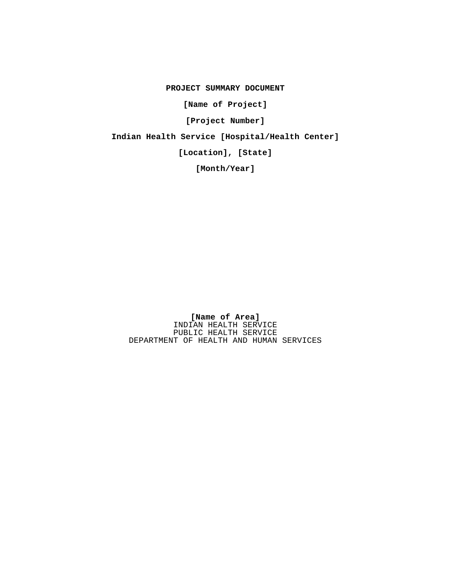**PROJECT SUMMARY DOCUMENT**

**[Name of Project]**

**[Project Number]**

**Indian Health Service [Hospital/Health Center]**

**[Location], [State]**

**[Month/Year]**

**[Name of Area]** INDIAN HEALTH SERVICE PUBLIC HEALTH SERVICE DEPARTMENT OF HEALTH AND HUMAN SERVICES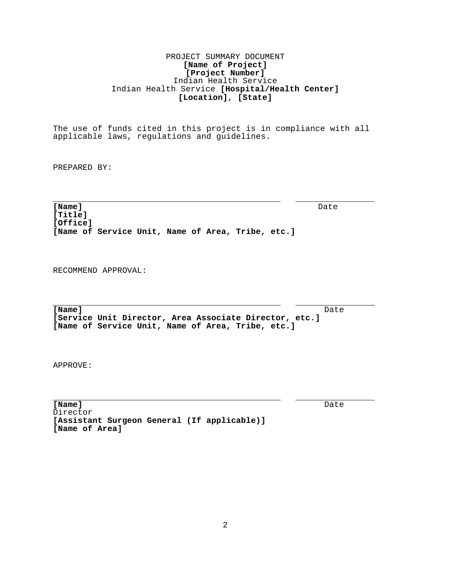# PROJECT SUMMARY DOCUMENT **[Name of Project] [Project Number]** Indian Health Service Indian Health Service **[Hospital/Health Center] [Location]**, **[State]**

The use of funds cited in this project is in compliance with all applicable laws, regulations and guidelines.

PREPARED BY:

\_\_\_\_\_\_\_\_\_\_\_\_\_\_\_\_\_\_\_\_\_\_\_\_\_\_\_\_\_\_\_\_\_\_\_\_\_\_\_\_\_\_\_\_\_\_ \_\_\_\_\_\_\_\_\_\_\_\_\_\_\_\_

[Name] **[Name]** Date **[Title] [Office] [Name of Service Unit, Name of Area, Tribe, etc.]**

RECOMMEND APPROVAL:

**[Name]** Date **[Service Unit Director, Area Associate Director, etc.] [Name of Service Unit, Name of Area, Tribe, etc.]**

APPROVE:

l,

l,

**[Name]** Date [Name] Date Director **[Assistant Surgeon General (If applicable)] [Name of Area]**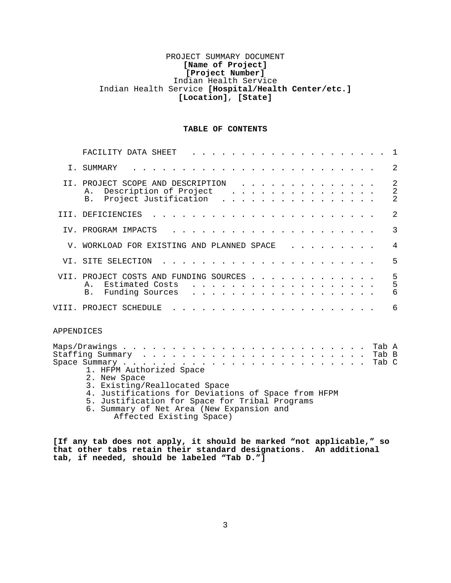# PROJECT SUMMARY DOCUMENT **[Name of Project] [Project Number]** Indian Health Service Indian Health Service **[Hospital/Health Center/etc.] [Location]**, **[State]**

## **TABLE OF CONTENTS**

|            | FACILITY DATA SHEET<br>1                                                                                                                                                                                                                                                                                                                                                                                                                                                                                                                                                                                                                                     |  |
|------------|--------------------------------------------------------------------------------------------------------------------------------------------------------------------------------------------------------------------------------------------------------------------------------------------------------------------------------------------------------------------------------------------------------------------------------------------------------------------------------------------------------------------------------------------------------------------------------------------------------------------------------------------------------------|--|
|            | $\overline{2}$<br>I. SUMMARY                                                                                                                                                                                                                                                                                                                                                                                                                                                                                                                                                                                                                                 |  |
|            | $\overline{2}$<br>II. PROJECT SCOPE AND DESCRIPTION<br>$\overline{2}$<br>Description of Project<br>Α.<br>$\mathbf{1} \quad \mathbf{1} \quad \mathbf{1} \quad \mathbf{1} \quad \mathbf{1} \quad \mathbf{1} \quad \mathbf{1} \quad \mathbf{1} \quad \mathbf{1} \quad \mathbf{1} \quad \mathbf{1} \quad \mathbf{1} \quad \mathbf{1} \quad \mathbf{1} \quad \mathbf{1} \quad \mathbf{1} \quad \mathbf{1} \quad \mathbf{1} \quad \mathbf{1} \quad \mathbf{1} \quad \mathbf{1} \quad \mathbf{1} \quad \mathbf{1} \quad \mathbf{1} \quad \mathbf{1} \quad \mathbf{1} \quad \mathbf{1} \quad \mathbf{$<br>$\overline{2}$<br>Project Justification<br><b>B</b> .<br>. |  |
|            | 2<br>III. DEFICIENCIES                                                                                                                                                                                                                                                                                                                                                                                                                                                                                                                                                                                                                                       |  |
|            | 3<br>IV. PROGRAM IMPACTS                                                                                                                                                                                                                                                                                                                                                                                                                                                                                                                                                                                                                                     |  |
|            | 4<br>V. WORKLOAD FOR EXISTING AND PLANNED SPACE                                                                                                                                                                                                                                                                                                                                                                                                                                                                                                                                                                                                              |  |
|            | 5<br>VI. SITE SELECTION                                                                                                                                                                                                                                                                                                                                                                                                                                                                                                                                                                                                                                      |  |
|            | 5<br>5<br>6<br>VII. PROJECT COSTS AND FUNDING SOURCES<br>Estimated Costs<br>Α.<br>Funding Sources<br><b>B</b> .<br>.                                                                                                                                                                                                                                                                                                                                                                                                                                                                                                                                         |  |
|            | 6<br>VIII. PROJECT SCHEDULE                                                                                                                                                                                                                                                                                                                                                                                                                                                                                                                                                                                                                                  |  |
| APPENDICES |                                                                                                                                                                                                                                                                                                                                                                                                                                                                                                                                                                                                                                                              |  |
|            | Tab A<br>Tab B<br>Tab C<br>1. HFPM Authorized Space<br>2. New Space<br>3. Existing/Reallocated Space<br>4. Justifications for Deviations of Space from HFPM<br>5. Justification for Space for Tribal Programs<br>6. Summary of Net Area (New Expansion and<br>Affected Existing Space)                                                                                                                                                                                                                                                                                                                                                                       |  |

**[If any tab does not apply, it should be marked "not applicable," so that other tabs retain their standard designations. An additional tab, if needed, should be labeled "Tab D."]**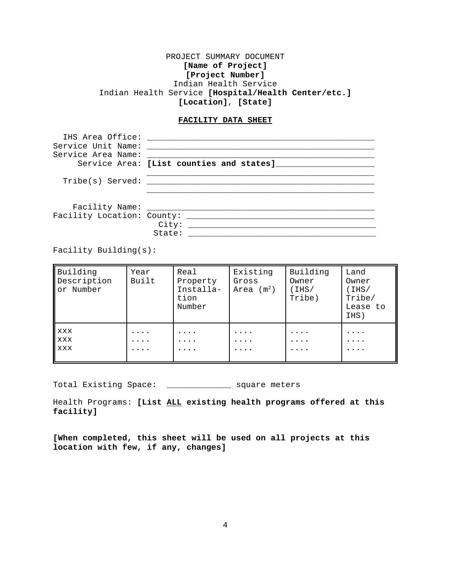# PROJECT SUMMARY DOCUMENT **[Name of Project] [Project Number]** Indian Health Service Indian Health Service **[Hospital/Health Center/etc.] [Location]**, **[State]**

## **FACILITY DATA SHEET**

| IHS Area Office:<br>Service Unit Name:<br>Service Area Name: | Service Area: [List counties and states] |
|--------------------------------------------------------------|------------------------------------------|
|                                                              |                                          |
| Tribe(s) Served:                                             |                                          |
| Facility Name: _________<br>Facility Location: County:       | City:<br>State:                          |

Facility Building(s):

| Building<br>Description<br>or Number | Year<br>Built | Real<br>Property<br>Installa-<br>tion<br>Number | Existing<br>Gross<br>Area $(m^2)$ | Building<br>Owner<br>IHS/<br>Tribe) | Land<br>Owner<br>IHS/<br>Tribe/<br>Lease to<br>IHS) |
|--------------------------------------|---------------|-------------------------------------------------|-----------------------------------|-------------------------------------|-----------------------------------------------------|
| XXX<br><b>XXX</b><br>XXX             | .<br>$\cdots$ | $\cdots$<br>$\cdots$<br>$\cdots$                | .<br>.<br>.                       | $\cdots$<br>.<br>$\cdots$           | .<br>.<br>.                                         |

Total Existing Space: \_\_\_\_\_\_\_\_\_\_\_\_\_ square meters

Health Programs: **[List ALL existing health programs offered at this facility]**

**[When completed, this sheet will be used on all projects at this location with few, if any, changes]**

4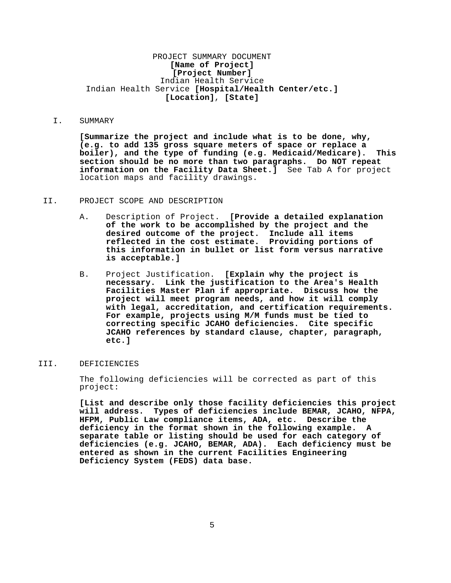# PROJECT SUMMARY DOCUMENT **[Name of Project] [Project Number]** Indian Health Service Indian Health Service **[Hospital/Health Center/etc.] [Location]**, **[State]**

# I. SUMMARY

**[Summarize the project and include what is to be done, why, (e.g. to add 135 gross square meters of space or replace a boiler), and the type of funding (e.g. Medicaid/Medicare). This section should be no more than two paragraphs. Do NOT repeat information on the Facility Data Sheet.]** See Tab A for project location maps and facility drawings.

### II. PROJECT SCOPE AND DESCRIPTION

- A. Description of Project. **[Provide a detailed explanation of the work to be accomplished by the project and the desired outcome of the project. Include all items reflected in the cost estimate. Providing portions of this information in bullet or list form versus narrative is acceptable.]**
- B. Project Justification. **[Explain why the project is necessary. Link the justification to the Area's Health Facilities Master Plan if appropriate. Discuss how the project will meet program needs, and how it will comply with legal, accreditation, and certification requirements. For example, projects using M/M funds must be tied to correcting specific JCAHO deficiencies. Cite specific JCAHO references by standard clause, chapter, paragraph, etc.]**

# III. DEFICIENCIES

The following deficiencies will be corrected as part of this project:

**[List and describe only those facility deficiencies this project will address. Types of deficiencies include BEMAR, JCAHO, NFPA, HFPM, Public Law compliance items, ADA, etc. Describe the deficiency in the format shown in the following example. A separate table or listing should be used for each category of deficiencies (e.g. JCAHO, BEMAR, ADA). Each deficiency must be entered as shown in the current Facilities Engineering Deficiency System (FEDS) data base.**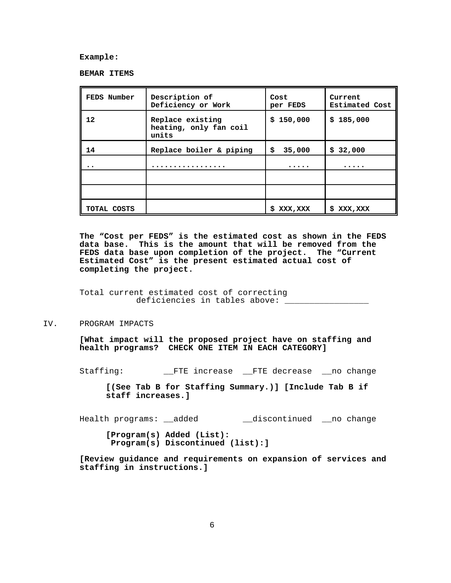**Example:**

**BEMAR ITEMS**

| FEDS Number | Description of<br>Deficiency or Work                | Cost<br>per FEDS | Current<br><b>Estimated Cost</b> |
|-------------|-----------------------------------------------------|------------------|----------------------------------|
| 12          | Replace existing<br>heating, only fan coil<br>units | 150,000<br>\$.   | \$185,000                        |
| 14          | Replace boiler & piping                             | 35,000<br>s      | 32,000<br>S                      |
|             |                                                     | .                | $\cdots$                         |
|             |                                                     |                  |                                  |
|             |                                                     |                  |                                  |
| TOTAL COSTS |                                                     | XXX , XXX<br>s   | s<br>XXX , XXX                   |

**The "Cost per FEDS" is the estimated cost as shown in the FEDS data base. This is the amount that will be removed from the FEDS data base upon completion of the project. The "Current Estimated Cost" is the present estimated actual cost of completing the project.**

Total current estimated cost of correcting deficiencies in tables above: \_\_\_\_\_\_\_\_\_\_\_\_\_\_\_\_\_

IV. PROGRAM IMPACTS

**[What impact will the proposed project have on staffing and health programs? CHECK ONE ITEM IN EACH CATEGORY]**

Staffing: \_\_FTE increase \_\_FTE decrease \_\_no change

**[(See Tab B for Staffing Summary.)] [Include Tab B if staff increases.]**

Health programs: \_\_added \_\_\_\_\_\_\_\_\_\_\_\_\_\_discontinued \_\_\_no change

**[Program(s) Added (List): Program(s) Discontinued (list):]**

**[Review guidance and requirements on expansion of services and staffing in instructions.]**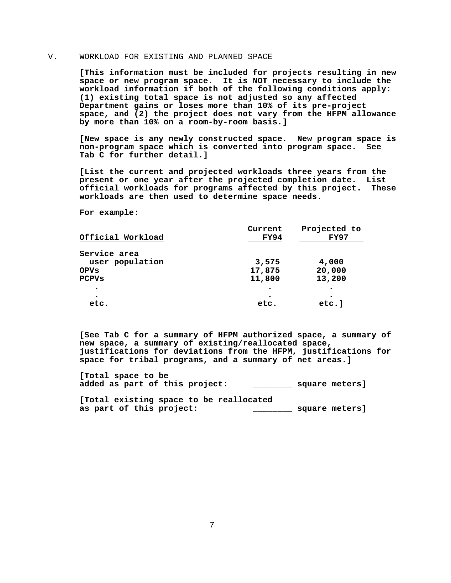# V. WORKLOAD FOR EXISTING AND PLANNED SPACE

**[This information must be included for projects resulting in new space or new program space. It is NOT necessary to include the workload information if both of the following conditions apply: (1) existing total space is not adjusted so any affected Department gains or loses more than 10% of its pre-project space, and (2) the project does not vary from the HFPM allowance by more than 10% on a room-by-room basis.]**

**[New space is any newly constructed space. New program space is non-program space which is converted into program space. See Tab C for further detail.]**

**[List the current and projected workloads three years from the present or one year after the projected completion date. List official workloads for programs affected by this project. These workloads are then used to determine space needs.**

**For example:** 

| Official Workload | Current<br><b>FY94</b> | Projected to<br>FY97 |
|-------------------|------------------------|----------------------|
| Service area      |                        |                      |
| user population   | 3,575                  | 4,000                |
| <b>OPVs</b>       | 17,875                 | 20,000               |
| <b>PCPVs</b>      | 11,800                 | 13,200               |
| $\bullet$         |                        |                      |
| $\bullet$         |                        |                      |
| etc.              | etc.                   | etc.]                |

**[See Tab C for a summary of HFPM authorized space, a summary of new space, a summary of existing/reallocated space, justifications for deviations from the HFPM, justifications for space for tribal programs, and a summary of net areas.]**

**[Total space to be added as part of this project: \_\_\_\_\_\_\_\_ square meters]**

**[Total existing space to be reallocated as part of this project: \_\_\_\_\_\_\_\_ square meters]**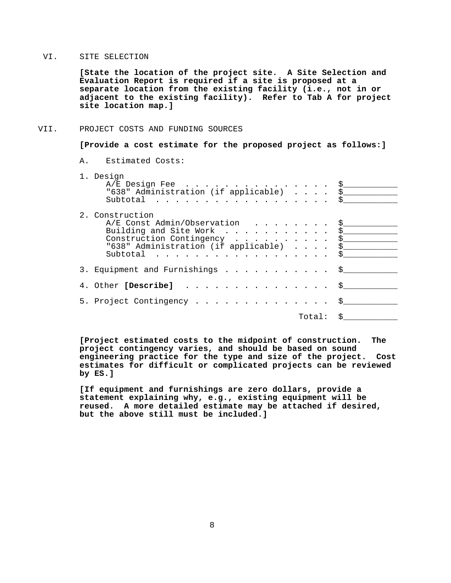## VI. SITE SELECTION

**[State the location of the project site. A Site Selection and Evaluation Report is required if a site is proposed at a separate location from the existing facility (i.e., not in or adjacent to the existing facility). Refer to Tab A for project site location map.]**

## VII. PROJECT COSTS AND FUNDING SOURCES

**[Provide a cost estimate for the proposed project as follows:]**

A. Estimated Costs:

| 1. Design<br>$A/E$ Design Fee \$<br>"638" Administration (if applicable) \$<br>Subtotal $\S$                                                                                       |  |
|------------------------------------------------------------------------------------------------------------------------------------------------------------------------------------|--|
| 2. Construction<br>A/E Const Admin/Observation \$<br>Building and Site Work \$<br>Construction Contingency \$<br>"638" Administration (if applicable) \$<br>Subtotal $\frac{1}{2}$ |  |
| 3. Equipment and Furnishings \$                                                                                                                                                    |  |
| 4. Other [Describe] \$                                                                                                                                                             |  |
| 5. Project Contingency \$                                                                                                                                                          |  |
| Total: \$                                                                                                                                                                          |  |

**[Project estimated costs to the midpoint of construction. The project contingency varies, and should be based on sound engineering practice for the type and size of the project. Cost estimates for difficult or complicated projects can be reviewed by ES.]**

**[If equipment and furnishings are zero dollars, provide a statement explaining why, e.g., existing equipment will be reused. A more detailed estimate may be attached if desired, but the above still must be included.]**

8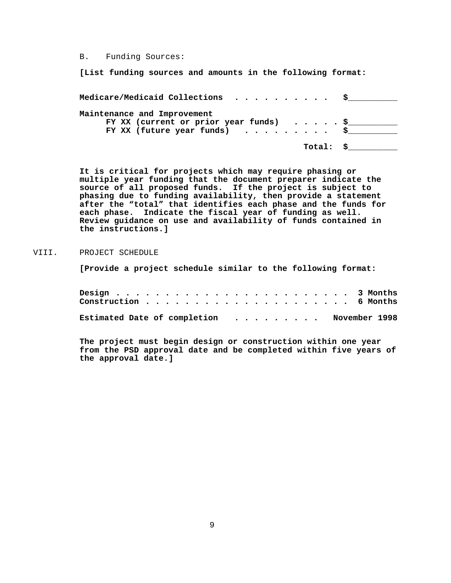B. Funding Sources:

**[List funding sources and amounts in the following format:**

| Medicare/Medicaid Collections $\,\,\ldots\,\,\ldots\,\,\ldots\,\,\,\ddot{\,\,\text{s}}$ |          |
|-----------------------------------------------------------------------------------------|----------|
| Maintenance and Improvement                                                             |          |
| FY XX (current or prior year funds) $\ldots$ , $\frac{1}{2}$                            |          |
| FY XX (future year funds) $\ldots \ldots \ldots$ \$                                     |          |
|                                                                                         | Total: S |

**It is critical for projects which may require phasing or multiple year funding that the document preparer indicate the source of all proposed funds. If the project is subject to phasing due to funding availability, then provide a statement after the "total" that identifies each phase and the funds for each phase. Indicate the fiscal year of funding as well. Review guidance on use and availability of funds contained in the instructions.]**

# VIII. PROJECT SCHEDULE

**[Provide a project schedule similar to the following format:**

| Estimated Date of completion November 1998 |  |  |  |  |  |  |  |  |  |  |  |  |
|--------------------------------------------|--|--|--|--|--|--|--|--|--|--|--|--|

**The project must begin design or construction within one year from the PSD approval date and be completed within five years of the approval date.]**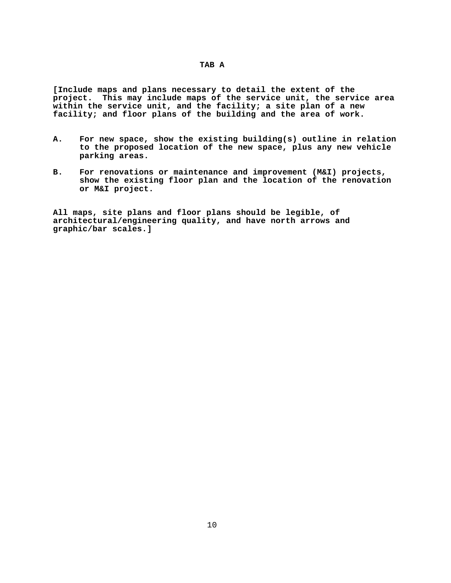**[Include maps and plans necessary to detail the extent of the project. This may include maps of the service unit, the service area within the service unit, and the facility; a site plan of a new facility; and floor plans of the building and the area of work.** 

- **A. For new space, show the existing building(s) outline in relation to the proposed location of the new space, plus any new vehicle parking areas.**
- **B. For renovations or maintenance and improvement (M&I) projects, show the existing floor plan and the location of the renovation or M&I project.**

**All maps, site plans and floor plans should be legible, of architectural/engineering quality, and have north arrows and graphic/bar scales.]**

# **TAB A**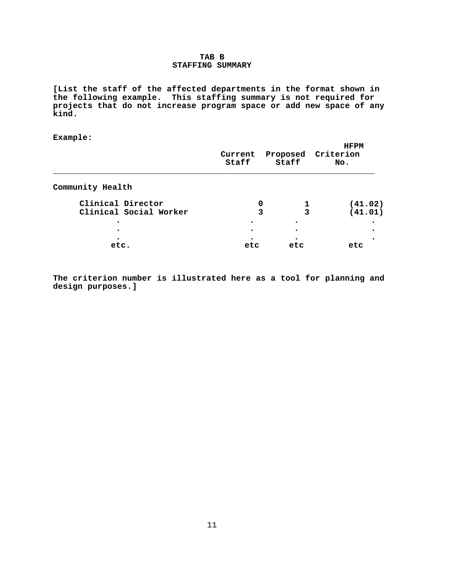# **TAB B STAFFING SUMMARY**

**[List the staff of the affected departments in the format shown in the following example. This staffing summary is not required for projects that do not increase program space or add new space of any kind.**

**Example:**

|                                             | Current<br>Staff | Staff       | <b>HFPM</b><br>Proposed Criterion<br>No. |
|---------------------------------------------|------------------|-------------|------------------------------------------|
| Community Health                            |                  |             |                                          |
| Clinical Director<br>Clinical Social Worker |                  | 0<br>3<br>3 | (41.02)<br>(41.01)                       |
|                                             |                  |             |                                          |
| etc.                                        | etc              | etc         | etc                                      |

**The criterion number is illustrated here as a tool for planning and design purposes.]**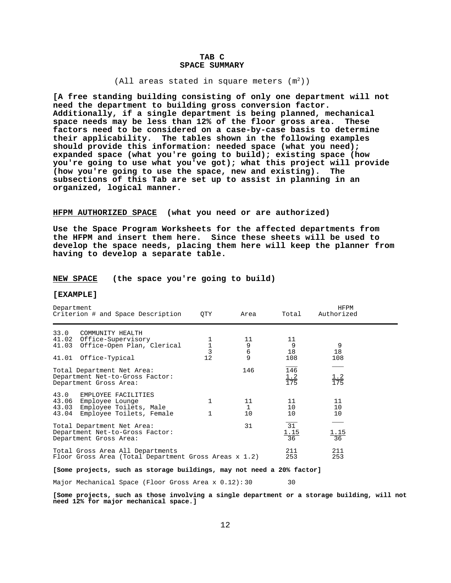## **TAB C SPACE SUMMARY**

### (All areas stated in square meters  $(m<sup>2</sup>)$ )

**[A free standing building consisting of only one department will not need the department to building gross conversion factor. Additionally, if a single department is being planned, mechanical space needs may be less than 12% of the floor gross area. These factors need to be considered on a case-by-case basis to determine their applicability. The tables shown in the following examples should provide this information: needed space (what you need); expanded space (what you're going to build); existing space (how you're going to use what you've got); what this project will provide (how you're going to use the space, new and existing). The subsections of this Tab are set up to assist in planning in an organized, logical manner.**

### **HFPM AUTHORIZED SPACE (what you need or are authorized)**

**Use the Space Program Worksheets for the affected departments from the HFPM and insert them here. Since these sheets will be used to develop the space needs, placing them here will keep the planner from having to develop a separate table.**

## **NEW SPACE (the space you're going to build)**

## **[EXAMPLE]**

| Department<br>Criterion # and Space Description                                                                                 | QTY                                              | Area                                             | Total                                | HFPM<br>Authorized |  |
|---------------------------------------------------------------------------------------------------------------------------------|--------------------------------------------------|--------------------------------------------------|--------------------------------------|--------------------|--|
| 33.0<br>COMMUNITY HEALTH<br>41.02 Office-Supervisory<br>41.03 Office-Open Plan, Clerical<br>Office-Typical<br>41.01             | $\begin{array}{c} 1 \\ 1 \\ 3 \end{array}$<br>12 | 11<br>9<br>$\begin{array}{c} 6 \\ 9 \end{array}$ | 11<br>9<br>18<br>108                 | 9<br>18<br>108     |  |
| Total Department Net Area:<br>Department Net-to-Gross Factor:<br>Department Gross Area:                                         |                                                  | 146                                              | 146<br>$\frac{1.2}{175}$             | $\frac{1.2}{175}$  |  |
| 43.0<br>EMPLOYEE FACILITIES<br>43.06<br>Employee Lounge<br>Employee Toilets, Male<br>43.03<br>43.04<br>Employee Toilets, Female | $\mathbf{1}$                                     | 11<br>$\mathbf{1}$<br>10                         | 11<br>10<br>10                       | 11<br>10<br>10     |  |
| Total Department Net Area:<br>Department Net-to-Gross Factor:<br>Department Gross Area:                                         |                                                  | 31                                               | $\overline{31}$<br>$\frac{1.15}{36}$ | $\frac{1.15}{36}$  |  |
| Total Gross Area All Departments<br>Floor Gross Area (Total Department Gross Areas $x$ 1.2)                                     |                                                  |                                                  | 211<br>253                           | 211<br>253         |  |

#### **[Some projects, such as storage buildings, may not need a 20% factor]**

Major Mechanical Space (Floor Gross Area x 0.12): 30 30

**[Some projects, such as those involving a single department or a storage building, will not need 12% for major mechanical space.]**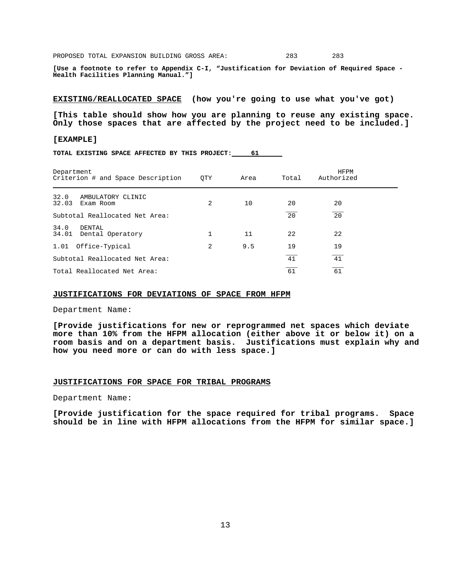PROPOSED TOTAL EXPANSION BUILDING GROSS AREA: 283 283

**[Use a footnote to refer to Appendix C-I, "Justification for Deviation of Required Space Health Facilities Planning Manual."]**

**EXISTING/REALLOCATED SPACE (how you're going to use what you've got)**

**[This table should show how you are planning to reuse any existing space. Only those spaces that are affected by the project need to be included.]**

#### **[EXAMPLE]**

**TOTAL EXISTING SPACE AFFECTED BY THIS PROJECT: 61** 

| Department<br>Criterion # and Space Description | <b>OTY</b>     | Area | Total | <b>HFPM</b><br>Authorized |  |  |  |
|-------------------------------------------------|----------------|------|-------|---------------------------|--|--|--|
| 32.0<br>AMBULATORY CLINIC<br>32.03<br>Exam Room | 2              | 10   | 20    | 20                        |  |  |  |
| Subtotal Reallocated Net Area:                  |                |      | 20    | $\overline{20}$           |  |  |  |
| 34.0<br>DENTAL<br>34.01<br>Dental Operatory     |                | 11   | 22    | 22                        |  |  |  |
| 1.01<br>Office-Typical                          | $\overline{2}$ | 9.5  | 19    | 19                        |  |  |  |
| Subtotal Reallocated Net Area:                  |                |      | 41    | 41                        |  |  |  |
| 61<br>61<br>Total Reallocated Net Area:         |                |      |       |                           |  |  |  |

### **JUSTIFICATIONS FOR DEVIATIONS OF SPACE FROM HFPM**

Department Name:

**[Provide justifications for new or reprogrammed net spaces which deviate more than 10% from the HFPM allocation (either above it or below it) on a room basis and on a department basis. Justifications must explain why and how you need more or can do with less space.]** 

#### **JUSTIFICATIONS FOR SPACE FOR TRIBAL PROGRAMS**

Department Name:

**[Provide justification for the space required for tribal programs. Space should be in line with HFPM allocations from the HFPM for similar space.]**